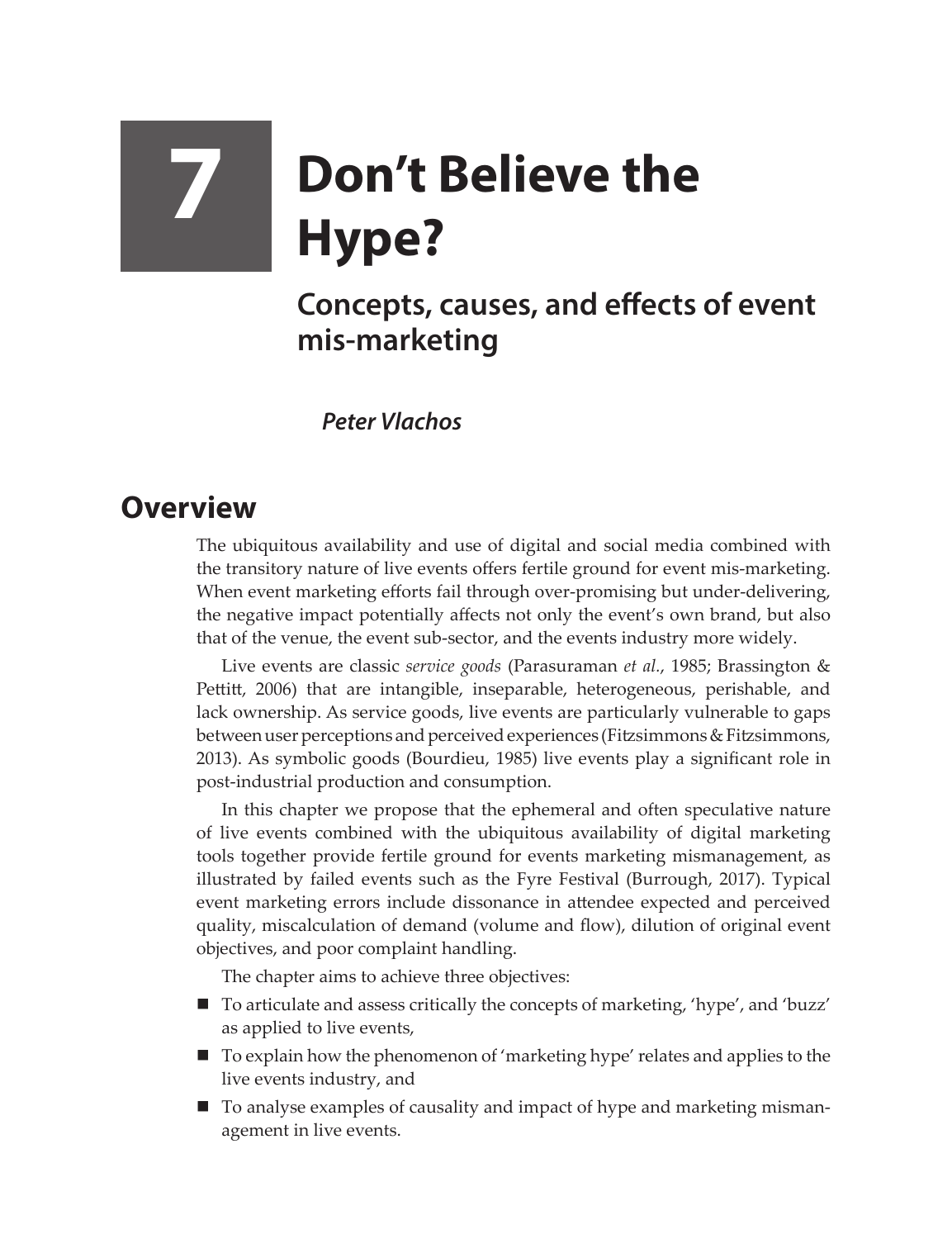## **7 Don't Believe the Hype?**

## **Concepts, causes, and effects of event mis-marketing**

*Peter Vlachos*

## **Overview**

The ubiquitous availability and use of digital and social media combined with the transitory nature of live events offers fertile ground for event mis-marketing. When event marketing efforts fail through over-promising but under-delivering, the negative impact potentially affects not only the event's own brand, but also that of the venue, the event sub-sector, and the events industry more widely.

Live events are classic *service goods* (Parasuraman *et al.*, 1985; Brassington & Pettitt, 2006) that are intangible, inseparable, heterogeneous, perishable, and lack ownership. As service goods, live events are particularly vulnerable to gaps between user perceptions and perceived experiences (Fitzsimmons & Fitzsimmons, 2013). As symbolic goods (Bourdieu, 1985) live events play a significant role in post-industrial production and consumption.

In this chapter we propose that the ephemeral and often speculative nature of live events combined with the ubiquitous availability of digital marketing tools together provide fertile ground for events marketing mismanagement, as illustrated by failed events such as the Fyre Festival (Burrough, 2017). Typical event marketing errors include dissonance in attendee expected and perceived quality, miscalculation of demand (volume and flow), dilution of original event objectives, and poor complaint handling.

The chapter aims to achieve three objectives:

- To articulate and assess critically the concepts of marketing, 'hype', and 'buzz' as applied to live events,
- To explain how the phenomenon of 'marketing hype' relates and applies to the live events industry, and
- To analyse examples of causality and impact of hype and marketing mismanagement in live events.